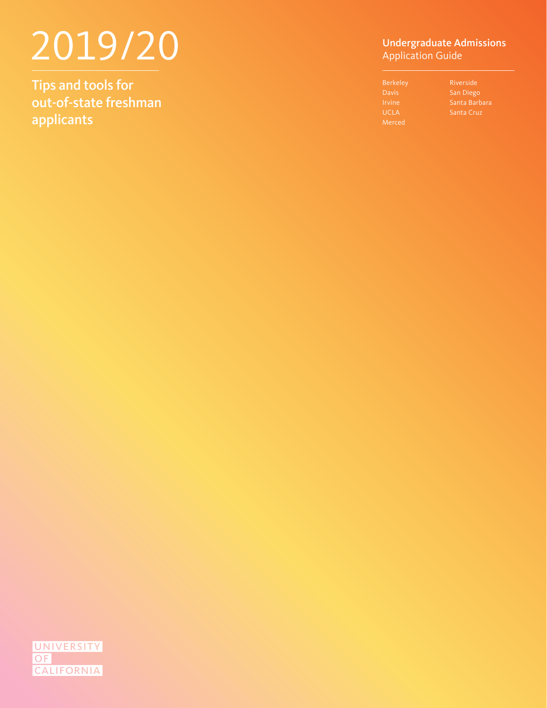# 2019/20

Tips and tools for out-of-state freshman applicants

#### Undergraduate Admissions Application Guide

| <b>Berkeley</b> | Riverside         |
|-----------------|-------------------|
| <b>Davis</b>    | San Diego         |
| <b>Irvine</b>   | Santa Barbara     |
| <b>UCLA</b>     | <b>Santa Cruz</b> |
| Merced          |                   |
|                 |                   |

UNIVERSITY **OF CALIFORNIA**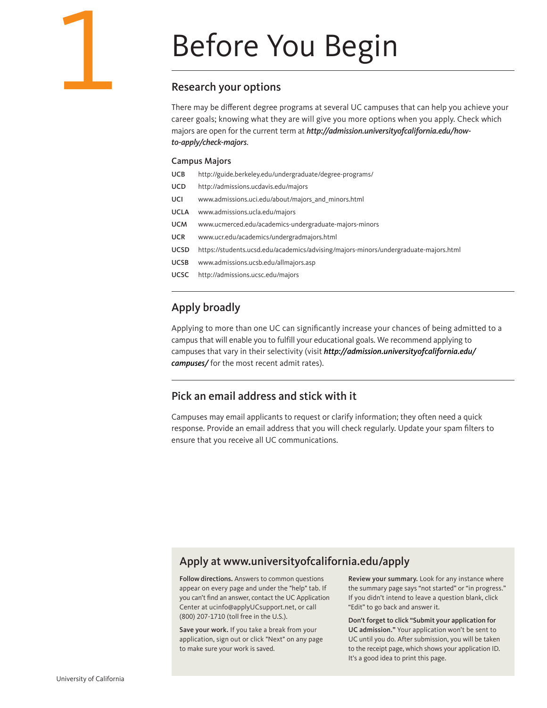

#### Research your options

There may be different degree programs at several UC campuses that can help you achieve your career goals; knowing what they are will give you more options when you apply. Check which majors are open for the current term at *[http://admission.universityofcalifornia.edu/how](http://admission.universityofcalifornia.edu/how-to-apply/check-majors)[to-apply/check-majors](http://admission.universityofcalifornia.edu/how-to-apply/check-majors)*.

#### Campus Majors

| UCB |  |  |  | http://guide.berkeley.edu/undergraduate/degree-programs/ |
|-----|--|--|--|----------------------------------------------------------|
|-----|--|--|--|----------------------------------------------------------|

- UCD <http://admissions.ucdavis.edu/majors>
- UCI [www.admissions.uci.edu/about/majors\\_and\\_minors.html](http://www.admissions.uci.edu/about/majors_and_minors.html)
- UCLA [www.admissions.ucla.edu/majors](http://www.admissions.ucla.edu/majors)
- UCM [www.ucmerced.edu/academics-undergraduate-majors-minors](http://www.ucmerced.edu/academics-undergraduate-majors-minors)
- UCR [www.ucr.edu/academics/undergradmajors.html](http://www.ucr.edu/academics/undergradmajors.html)
- UCSD <https://students.ucsd.edu/academics/advising/majors-minors/undergraduate-majors.html>
- UCSB [www.admissions.ucsb.edu/allmajors.asp](http://www.admissions.ucsb.edu/allmajors.asp)
- UCSC <http://admissions.ucsc.edu/majors>

## Apply broadly

Applying to more than one UC can significantly increase your chances of being admitted to a campus that will enable you to fulfill your educational goals. We recommend applying to campuses that vary in their selectivity (visit *[http://admission.universityofcalifornia.edu/](http://admission.universityofcalifornia.edu/campuses/) campuses/* for the most recent admit rates).

#### Pick an email address and stick with it

Campuses may email applicants to request or clarify information; they often need a quick response. Provide an email address that you will check regularly. Update your spam filters to ensure that you receive all UC communications.

#### Apply at [www.universityofcalifornia.edu/apply](http://www.universityofcalifornia.edu/apply)

Follow directions. Answers to common questions appear on every page and under the "help" tab. If you can't find an answer, contact the UC Application Center at ucinfo@applyUCsupport.net, or call (800) 207-1710 (toll free in the U.S.).

Save your work. If you take a break from your application, sign out or click "Next" on any page to make sure your work is saved.

Review your summary. Look for any instance where the summary page says "not started" or "in progress." If you didn't intend to leave a question blank, click "Edit" to go back and answer it.

Don't forget to click "Submit your application for UC admission." Your application won't be sent to UC until you do. After submission, you will be taken to the receipt page, which shows your application ID. It's a good idea to print this page.

1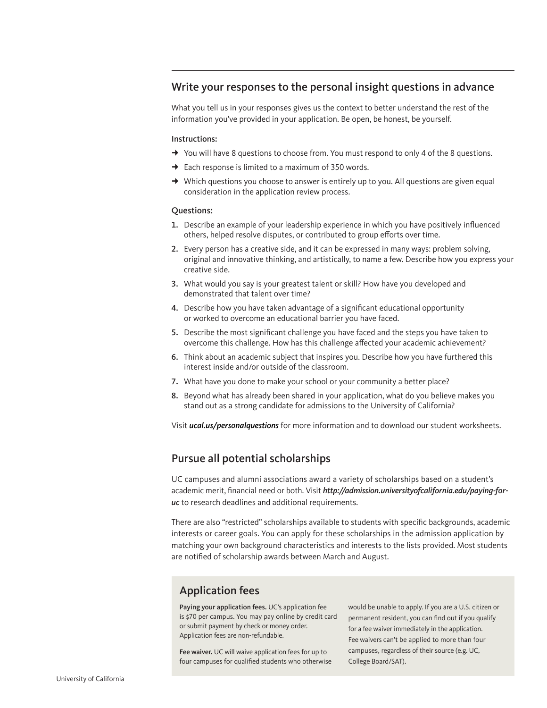#### Write your responses to the personal insight questions in advance

What you tell us in your responses gives us the context to better understand the rest of the information you've provided in your application. Be open, be honest, be yourself.

#### Instructions:

- $\rightarrow$  You will have 8 questions to choose from. You must respond to only 4 of the 8 questions.
- $\rightarrow$  Each response is limited to a maximum of 350 words.
- $\rightarrow$  Which questions you choose to answer is entirely up to you. All questions are given equal consideration in the application review process.

#### Questions:

- 1. Describe an example of your leadership experience in which you have positively influenced others, helped resolve disputes, or contributed to group efforts over time.
- 2. Every person has a creative side, and it can be expressed in many ways: problem solving, original and innovative thinking, and artistically, to name a few. Describe how you express your creative side.
- 3. What would you say is your greatest talent or skill? How have you developed and demonstrated that talent over time?
- 4. Describe how you have taken advantage of a significant educational opportunity or worked to overcome an educational barrier you have faced.
- 5. Describe the most significant challenge you have faced and the steps you have taken to overcome this challenge. How has this challenge affected your academic achievement?
- 6. Think about an academic subject that inspires you. Describe how you have furthered this interest inside and/or outside of the classroom.
- 7. What have you done to make your school or your community a better place?
- 8. Beyond what has already been shared in your application, what do you believe makes you stand out as a strong candidate for admissions to the University of California?

Visit *[ucal.us/personalquestions](http://admission.universityofcalifornia.edu/how-to-apply/personal-questions/index.html)* for more information and to download our student worksheets.

#### Pursue all potential scholarships

UC campuses and alumni associations award a variety of scholarships based on a student's academic merit, financial need or both. Visit *[http://admission.universityofcalifornia.edu/paying-for](http://admission.universityofcalifornia.edu/paying-for-uc)[uc](http://admission.universityofcalifornia.edu/paying-for-uc)* to research deadlines and additional requirements.

There are also "restricted" scholarships available to students with specific backgrounds, academic interests or career goals. You can apply for these scholarships in the admission application by matching your own background characteristics and interests to the lists provided. Most students are notified of scholarship awards between March and August.

### Application fees

Paying your application fees. UC's application fee is \$70 per campus. You may pay online by credit card or submit payment by check or money order. Application fees are non-refundable.

Fee waiver. UC will waive application fees for up to four campuses for qualified students who otherwise would be unable to apply. If you are a U.S. citizen or permanent resident, you can find out if you qualify for a fee waiver immediately in the application. Fee waivers can't be applied to more than four campuses, regardless of their source (e.g. UC, College Board/SAT).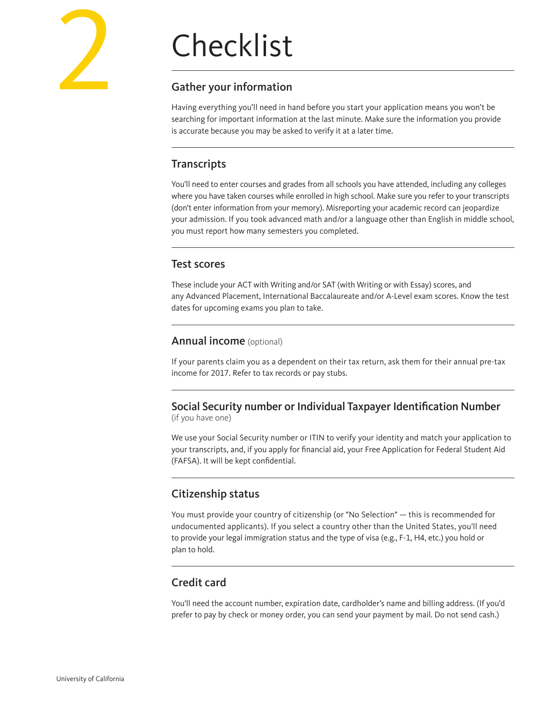# Checklist

# Gather your information

Having everything you'll need in hand before you start your application means you won't be searching for important information at the last minute. Make sure the information you provide is accurate because you may be asked to verify it at a later time.

# **Transcripts**

You'll need to enter courses and grades from all schools you have attended, including any colleges where you have taken courses while enrolled in high school. Make sure you refer to your transcripts (don't enter information from your memory). Misreporting your academic record can jeopardize your admission. If you took advanced math and/or a language other than English in middle school, you must report how many semesters you completed.

# Test scores

These include your ACT with Writing and/or SAT (with Writing or with Essay) scores, and any Advanced Placement, International Baccalaureate and/or A-Level exam scores. Know the test dates for upcoming exams you plan to take.

### Annual income (optional)

If your parents claim you as a dependent on their tax return, ask them for their annual pre-tax income for 2017. Refer to tax records or pay stubs.

# Social Security number or Individual Taxpayer Identification Number

(if you have one)

We use your Social Security number or ITIN to verify your identity and match your application to your transcripts, and, if you apply for financial aid, your Free Application for Federal Student Aid (FAFSA). It will be kept confidential.

# Citizenship status

You must provide your country of citizenship (or "No Selection" — this is recommended for undocumented applicants). If you select a country other than the United States, you'll need to provide your legal immigration status and the type of visa (e.g., F-1, H4, etc.) you hold or plan to hold.

# Credit card

You'll need the account number, expiration date, cardholder's name and billing address. (If you'd prefer to pay by check or money order, you can send your payment by mail. Do not send cash.)

2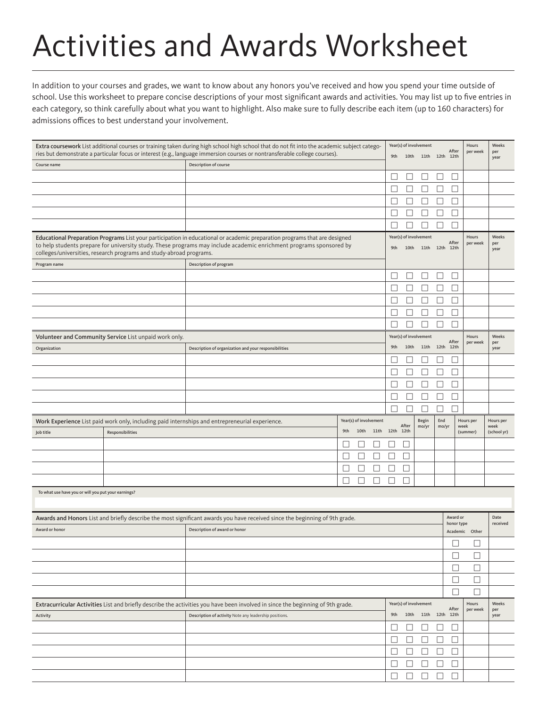# Activities and Awards Worksheet

In addition to your courses and grades, we want to know about any honors you've received and how you spend your time outside of school. Use this worksheet to prepare concise descriptions of your most significant awards and activities. You may list up to five entries in each category, so think carefully about what you want to highlight. Also make sure to fully describe each item (up to 160 characters) for admissions offices to best understand your involvement.

| Extra coursework List additional courses or training taken during high school high school that do not fit into the academic subject catego-<br>ries but demonstrate a particular focus or interest (e.g., language immersion courses or nontransferable college courses).                                                |                                                        |                                                                                                                                 |        |  | 9th    |                        | Year(s) of involvement<br>10th 11th 12th 12th |        | After                                    | Hours<br>per week | Weeks<br>per             |                   |                      |
|--------------------------------------------------------------------------------------------------------------------------------------------------------------------------------------------------------------------------------------------------------------------------------------------------------------------------|--------------------------------------------------------|---------------------------------------------------------------------------------------------------------------------------------|--------|--|--------|------------------------|-----------------------------------------------|--------|------------------------------------------|-------------------|--------------------------|-------------------|----------------------|
| Description of course<br>Course name                                                                                                                                                                                                                                                                                     |                                                        |                                                                                                                                 |        |  |        |                        |                                               |        |                                          |                   |                          | year              |                      |
|                                                                                                                                                                                                                                                                                                                          |                                                        |                                                                                                                                 |        |  |        |                        | $\Box$                                        | ⊔      | □                                        | $\Box$            | □                        |                   |                      |
|                                                                                                                                                                                                                                                                                                                          |                                                        |                                                                                                                                 |        |  |        |                        |                                               |        | ⊔                                        | $\Box$            | □                        |                   |                      |
|                                                                                                                                                                                                                                                                                                                          |                                                        |                                                                                                                                 |        |  |        |                        | П                                             | Ш      | $\Box$                                   | $\Box$            | $\Box$                   |                   |                      |
|                                                                                                                                                                                                                                                                                                                          |                                                        |                                                                                                                                 |        |  |        |                        |                                               | Ш      | □                                        | $\Box$            | □                        |                   |                      |
|                                                                                                                                                                                                                                                                                                                          |                                                        |                                                                                                                                 |        |  |        |                        | $\Box$                                        | H      | $\Box$                                   | $\Box$            | $\Box$                   |                   |                      |
| Educational Preparation Programs List your participation in educational or academic preparation programs that are designed<br>to help students prepare for university study. These programs may include academic enrichment programs sponsored by<br>colleges/universities, research programs and study-abroad programs. |                                                        |                                                                                                                                 |        |  |        |                        | 9th                                           |        | Year(s) of involvement<br>10th 11th 12th |                   | After<br>12th            | Hours<br>per week | Weeks<br>per<br>year |
| Program name                                                                                                                                                                                                                                                                                                             |                                                        | Description of program                                                                                                          |        |  |        |                        | П                                             | П      | □                                        | □                 | $\Box$                   |                   |                      |
|                                                                                                                                                                                                                                                                                                                          |                                                        |                                                                                                                                 |        |  |        |                        |                                               |        |                                          | $\Box$            | $\Box$                   |                   |                      |
|                                                                                                                                                                                                                                                                                                                          |                                                        |                                                                                                                                 |        |  |        |                        |                                               | L      | □                                        |                   |                          |                   |                      |
|                                                                                                                                                                                                                                                                                                                          |                                                        |                                                                                                                                 |        |  |        |                        |                                               | $\Box$ | ⊔                                        | $\Box$            | □                        |                   |                      |
|                                                                                                                                                                                                                                                                                                                          |                                                        |                                                                                                                                 |        |  |        |                        |                                               |        |                                          | $\Box$            | □                        |                   |                      |
|                                                                                                                                                                                                                                                                                                                          |                                                        |                                                                                                                                 |        |  |        |                        |                                               |        |                                          | □                 | $\Box$                   |                   |                      |
| Organization                                                                                                                                                                                                                                                                                                             | Volunteer and Community Service List unpaid work only. | Description of organization and your responsibilities                                                                           |        |  |        |                        | 9th                                           | 10th   | Year(s) of involvement<br>11th 12th      |                   | After<br>12th            | Hours<br>per week | Weeks<br>per<br>year |
|                                                                                                                                                                                                                                                                                                                          |                                                        |                                                                                                                                 |        |  |        |                        |                                               | ப      | ⊔                                        | ⊔                 | $\Box$                   |                   |                      |
|                                                                                                                                                                                                                                                                                                                          |                                                        |                                                                                                                                 |        |  |        |                        | $\Box$                                        | $\Box$ | □                                        | □                 | $\Box$                   |                   |                      |
|                                                                                                                                                                                                                                                                                                                          |                                                        |                                                                                                                                 |        |  |        |                        |                                               | $\Box$ | □                                        | $\Box$            | $\Box$                   |                   |                      |
|                                                                                                                                                                                                                                                                                                                          |                                                        |                                                                                                                                 |        |  |        |                        | $\Box$                                        | L      | □                                        | $\Box$            | $\Box$                   |                   |                      |
|                                                                                                                                                                                                                                                                                                                          |                                                        |                                                                                                                                 |        |  |        |                        |                                               |        |                                          |                   |                          |                   |                      |
|                                                                                                                                                                                                                                                                                                                          |                                                        |                                                                                                                                 |        |  |        | Year(s) of involvement |                                               |        | Begin                                    | End               |                          | Hours per         | Hours per            |
|                                                                                                                                                                                                                                                                                                                          |                                                        |                                                                                                                                 |        |  |        |                        |                                               |        |                                          |                   |                          |                   |                      |
|                                                                                                                                                                                                                                                                                                                          |                                                        | Work Experience List paid work only, including paid internships and entrepreneurial experience.                                 | 9th    |  | 10th   |                        | 11th 12th 12th                                | After  | mo/yr                                    | mo/yr             |                          | week<br>(summer)  | week<br>(school yr)  |
| Job title                                                                                                                                                                                                                                                                                                                | Responsibilities                                       |                                                                                                                                 |        |  |        |                        |                                               |        |                                          |                   |                          |                   |                      |
|                                                                                                                                                                                                                                                                                                                          |                                                        |                                                                                                                                 |        |  |        |                        |                                               |        |                                          |                   |                          |                   |                      |
|                                                                                                                                                                                                                                                                                                                          |                                                        |                                                                                                                                 |        |  |        |                        |                                               |        |                                          |                   |                          |                   |                      |
|                                                                                                                                                                                                                                                                                                                          |                                                        |                                                                                                                                 |        |  |        |                        |                                               |        |                                          |                   |                          |                   |                      |
|                                                                                                                                                                                                                                                                                                                          |                                                        |                                                                                                                                 | $\Box$ |  | $\Box$ | ⊔                      | ⊔                                             |        |                                          |                   |                          |                   |                      |
| To what use have you or will you put your earnings?                                                                                                                                                                                                                                                                      |                                                        |                                                                                                                                 |        |  |        |                        |                                               |        |                                          |                   |                          |                   |                      |
|                                                                                                                                                                                                                                                                                                                          |                                                        | Awards and Honors List and briefly describe the most significant awards you have received since the beginning of 9th grade.     |        |  |        |                        |                                               |        |                                          |                   | Award or                 |                   | Date                 |
| Award or honor                                                                                                                                                                                                                                                                                                           |                                                        | Description of award or honor                                                                                                   |        |  |        |                        |                                               |        |                                          |                   | honor type               | Academic Other    | received             |
|                                                                                                                                                                                                                                                                                                                          |                                                        |                                                                                                                                 |        |  |        |                        |                                               |        |                                          |                   | $\overline{\phantom{a}}$ | ப                 |                      |
|                                                                                                                                                                                                                                                                                                                          |                                                        |                                                                                                                                 |        |  |        |                        |                                               |        |                                          |                   | □                        |                   |                      |
|                                                                                                                                                                                                                                                                                                                          |                                                        |                                                                                                                                 |        |  |        |                        |                                               |        |                                          |                   |                          | $\Box$            |                      |
|                                                                                                                                                                                                                                                                                                                          |                                                        |                                                                                                                                 |        |  |        |                        |                                               |        |                                          |                   | $\Box$                   | $\Box$            |                      |
|                                                                                                                                                                                                                                                                                                                          |                                                        |                                                                                                                                 |        |  |        |                        |                                               |        |                                          |                   | □                        | $\Box$            |                      |
|                                                                                                                                                                                                                                                                                                                          |                                                        | Extracurricular Activities List and briefly describe the activities you have been involved in since the beginning of 9th grade. |        |  |        |                        |                                               |        | Year(s) of involvement                   |                   | $\Box$                   | $\Box$<br>Hours   | Weeks                |
| Activity                                                                                                                                                                                                                                                                                                                 |                                                        | Description of activity Note any leadership positions.                                                                          |        |  |        |                        |                                               |        | 9th 10th 11th 12th 12th                  |                   | After                    | per week          | per<br>year          |
|                                                                                                                                                                                                                                                                                                                          |                                                        |                                                                                                                                 |        |  |        |                        | $\Box$                                        | □      | □                                        | $\Box$            | $\Box$                   |                   |                      |
|                                                                                                                                                                                                                                                                                                                          |                                                        |                                                                                                                                 |        |  |        |                        | $\Box$                                        | $\Box$ | $\Box$                                   | $\Box$            | $\Box$                   |                   |                      |
|                                                                                                                                                                                                                                                                                                                          |                                                        |                                                                                                                                 |        |  |        |                        | $\Box$                                        | $\Box$ | $\Box$                                   | $\Box$            | $\Box$                   |                   |                      |
|                                                                                                                                                                                                                                                                                                                          |                                                        |                                                                                                                                 |        |  |        |                        | $\Box$                                        | $\Box$ | $\Box$                                   | $\Box$            | $\Box$                   |                   |                      |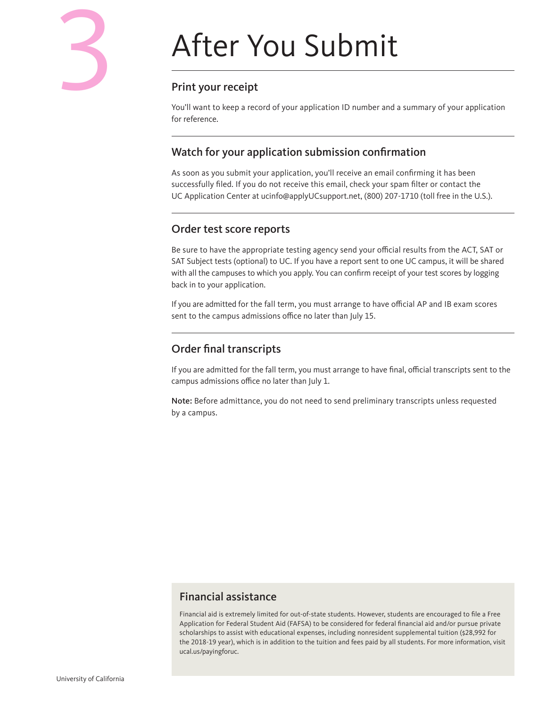# After You Submit

# Print your receipt

You'll want to keep a record of your application ID number and a summary of your application for reference.

# Watch for your application submission confirmation

As soon as you submit your application, you'll receive an email confirming it has been successfully filed. If you do not receive this email, check your spam filter or contact the UC Application Center at ucinfo@applyUCsupport.net, (800) 207-1710 (toll free in the U.S.).

## Order test score reports

Be sure to have the appropriate testing agency send your official results from the ACT, SAT or SAT Subject tests (optional) to UC. If you have a report sent to one UC campus, it will be shared with all the campuses to which you apply. You can confirm receipt of your test scores by logging back in to your application.

If you are admitted for the fall term, you must arrange to have official AP and IB exam scores sent to the campus admissions office no later than July 15.

# Order final transcripts

If you are admitted for the fall term, you must arrange to have final, official transcripts sent to the campus admissions office no later than July 1.

Note: Before admittance, you do not need to send preliminary transcripts unless requested by a campus.

# Financial assistance

Financial aid is extremely limited for out-of-state students. However, students are encouraged to file a Free Application for Federal Student Aid (FAFSA) to be considered for federal financial aid and/or pursue private scholarships to assist with educational expenses, including nonresident supplemental tuition (\$28,992 for the 2018-19 year), which is in addition to the tuition and fees paid by all students. For more information, visit [ucal.us/payingforuc.](http://ucal.us/payingforuc)